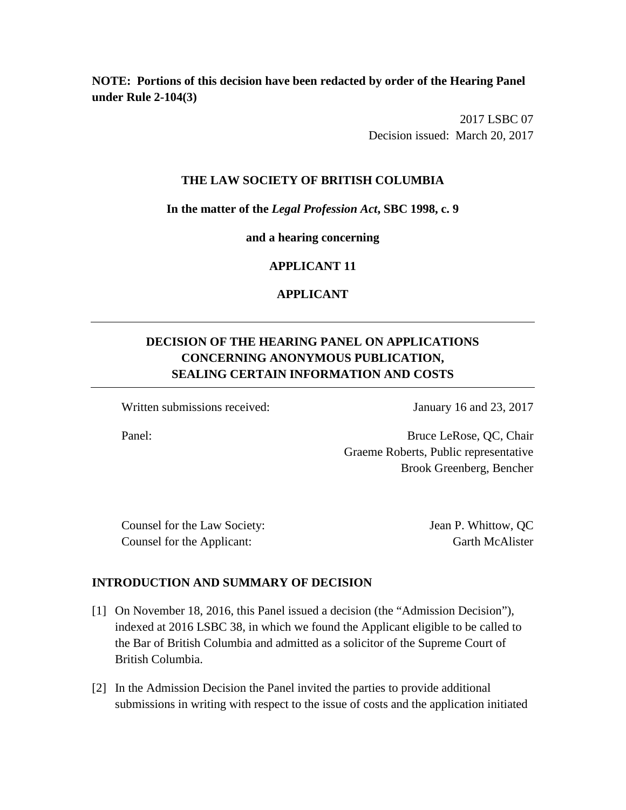**NOTE: Portions of this decision have been redacted by order of the Hearing Panel under Rule 2-104(3)** 

> 2017 LSBC 07 Decision issued: March 20, 2017

# **THE LAW SOCIETY OF BRITISH COLUMBIA**

**In the matter of the** *Legal Profession Act***, SBC 1998, c. 9** 

**and a hearing concerning**

# **APPLICANT 11**

# **APPLICANT**

# **DECISION OF THE HEARING PANEL ON APPLICATIONS CONCERNING ANONYMOUS PUBLICATION, SEALING CERTAIN INFORMATION AND COSTS**

Written submissions received: January 16 and 23, 2017

Panel: Bruce LeRose, QC, Chair Graeme Roberts, Public representative Brook Greenberg, Bencher

Counsel for the Law Society: Jean P. Whittow, QC Counsel for the Applicant: Garth McAlister

# **INTRODUCTION AND SUMMARY OF DECISION**

- [1] On November 18, 2016, this Panel issued a decision (the "Admission Decision"), indexed at 2016 LSBC 38, in which we found the Applicant eligible to be called to the Bar of British Columbia and admitted as a solicitor of the Supreme Court of British Columbia.
- [2] In the Admission Decision the Panel invited the parties to provide additional submissions in writing with respect to the issue of costs and the application initiated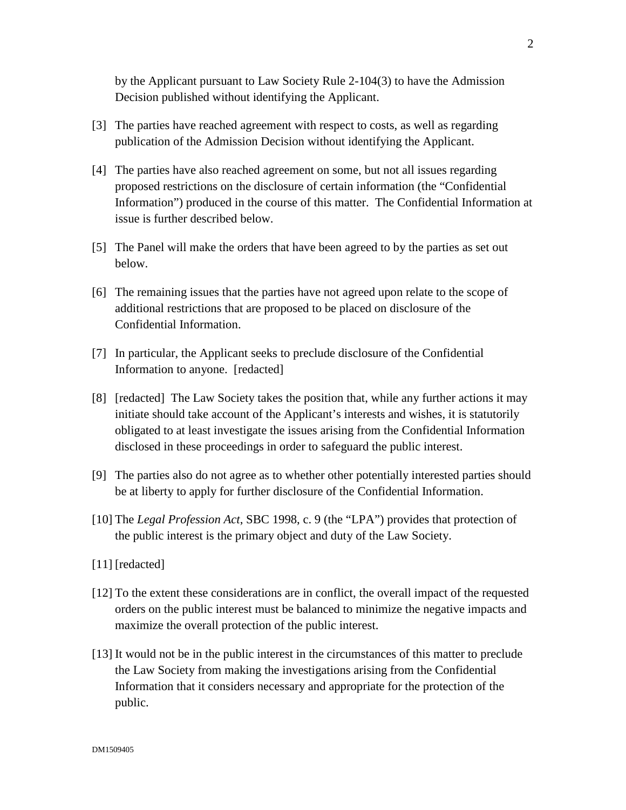by the Applicant pursuant to Law Society Rule 2-104(3) to have the Admission Decision published without identifying the Applicant.

- [3] The parties have reached agreement with respect to costs, as well as regarding publication of the Admission Decision without identifying the Applicant.
- [4] The parties have also reached agreement on some, but not all issues regarding proposed restrictions on the disclosure of certain information (the "Confidential Information") produced in the course of this matter. The Confidential Information at issue is further described below.
- [5] The Panel will make the orders that have been agreed to by the parties as set out below.
- [6] The remaining issues that the parties have not agreed upon relate to the scope of additional restrictions that are proposed to be placed on disclosure of the Confidential Information.
- [7] In particular, the Applicant seeks to preclude disclosure of the Confidential Information to anyone. [redacted]
- [8] [redacted] The Law Society takes the position that, while any further actions it may initiate should take account of the Applicant's interests and wishes, it is statutorily obligated to at least investigate the issues arising from the Confidential Information disclosed in these proceedings in order to safeguard the public interest.
- [9] The parties also do not agree as to whether other potentially interested parties should be at liberty to apply for further disclosure of the Confidential Information.
- [10] The *Legal Profession Act*, SBC 1998, c. 9 (the "LPA") provides that protection of the public interest is the primary object and duty of the Law Society.
- [11] [redacted]
- [12] To the extent these considerations are in conflict, the overall impact of the requested orders on the public interest must be balanced to minimize the negative impacts and maximize the overall protection of the public interest.
- [13] It would not be in the public interest in the circumstances of this matter to preclude the Law Society from making the investigations arising from the Confidential Information that it considers necessary and appropriate for the protection of the public.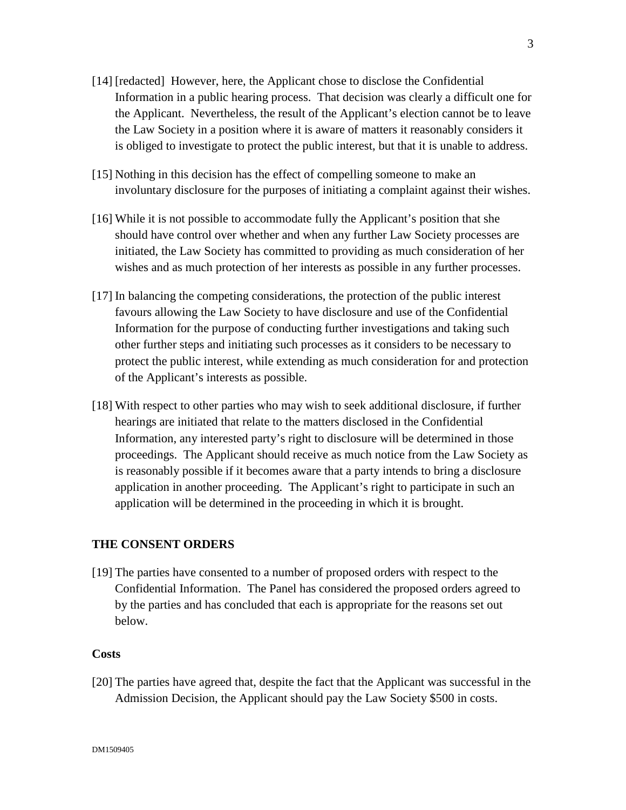- [14] [redacted] However, here, the Applicant chose to disclose the Confidential Information in a public hearing process. That decision was clearly a difficult one for the Applicant. Nevertheless, the result of the Applicant's election cannot be to leave the Law Society in a position where it is aware of matters it reasonably considers it is obliged to investigate to protect the public interest, but that it is unable to address.
- [15] Nothing in this decision has the effect of compelling someone to make an involuntary disclosure for the purposes of initiating a complaint against their wishes.
- [16] While it is not possible to accommodate fully the Applicant's position that she should have control over whether and when any further Law Society processes are initiated, the Law Society has committed to providing as much consideration of her wishes and as much protection of her interests as possible in any further processes.
- [17] In balancing the competing considerations, the protection of the public interest favours allowing the Law Society to have disclosure and use of the Confidential Information for the purpose of conducting further investigations and taking such other further steps and initiating such processes as it considers to be necessary to protect the public interest, while extending as much consideration for and protection of the Applicant's interests as possible.
- [18] With respect to other parties who may wish to seek additional disclosure, if further hearings are initiated that relate to the matters disclosed in the Confidential Information, any interested party's right to disclosure will be determined in those proceedings. The Applicant should receive as much notice from the Law Society as is reasonably possible if it becomes aware that a party intends to bring a disclosure application in another proceeding. The Applicant's right to participate in such an application will be determined in the proceeding in which it is brought.

# **THE CONSENT ORDERS**

[19] The parties have consented to a number of proposed orders with respect to the Confidential Information. The Panel has considered the proposed orders agreed to by the parties and has concluded that each is appropriate for the reasons set out below.

### **Costs**

[20] The parties have agreed that, despite the fact that the Applicant was successful in the Admission Decision, the Applicant should pay the Law Society \$500 in costs.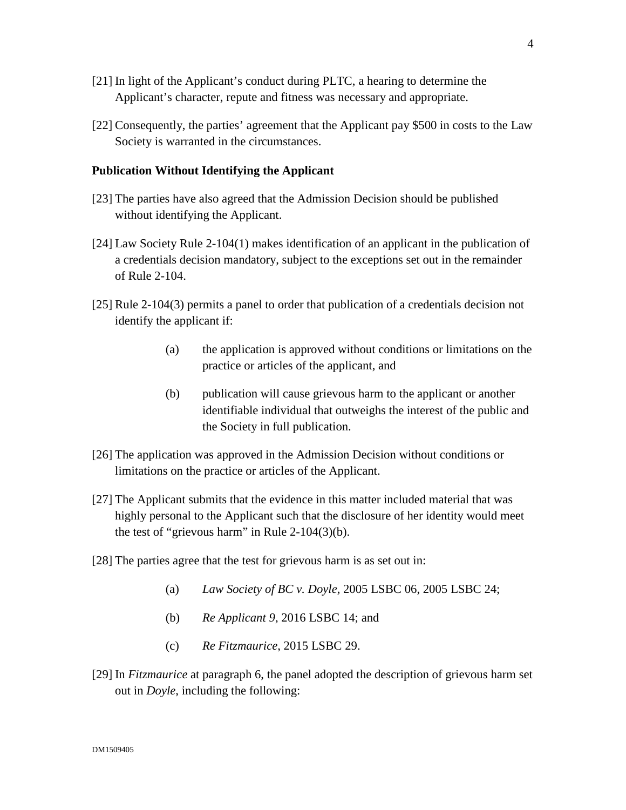- [21] In light of the Applicant's conduct during PLTC, a hearing to determine the Applicant's character, repute and fitness was necessary and appropriate.
- [22] Consequently, the parties' agreement that the Applicant pay \$500 in costs to the Law Society is warranted in the circumstances.

#### **Publication Without Identifying the Applicant**

- [23] The parties have also agreed that the Admission Decision should be published without identifying the Applicant.
- [24] Law Society Rule 2-104(1) makes identification of an applicant in the publication of a credentials decision mandatory, subject to the exceptions set out in the remainder of Rule 2-104.
- [25] Rule 2-104(3) permits a panel to order that publication of a credentials decision not identify the applicant if:
	- (a) the application is approved without conditions or limitations on the practice or articles of the applicant, and
	- (b) publication will cause grievous harm to the applicant or another identifiable individual that outweighs the interest of the public and the Society in full publication.
- [26] The application was approved in the Admission Decision without conditions or limitations on the practice or articles of the Applicant.
- [27] The Applicant submits that the evidence in this matter included material that was highly personal to the Applicant such that the disclosure of her identity would meet the test of "grievous harm" in Rule 2-104(3)(b).
- [28] The parties agree that the test for grievous harm is as set out in:
	- (a) *Law Society of BC v. Doyle,* 2005 LSBC 06, 2005 LSBC 24;
	- (b) *Re Applicant 9*, 2016 LSBC 14; and
	- (c) *Re Fitzmaurice*, 2015 LSBC 29.
- [29] In *Fitzmaurice* at paragraph 6, the panel adopted the description of grievous harm set out in *Doyle*, including the following: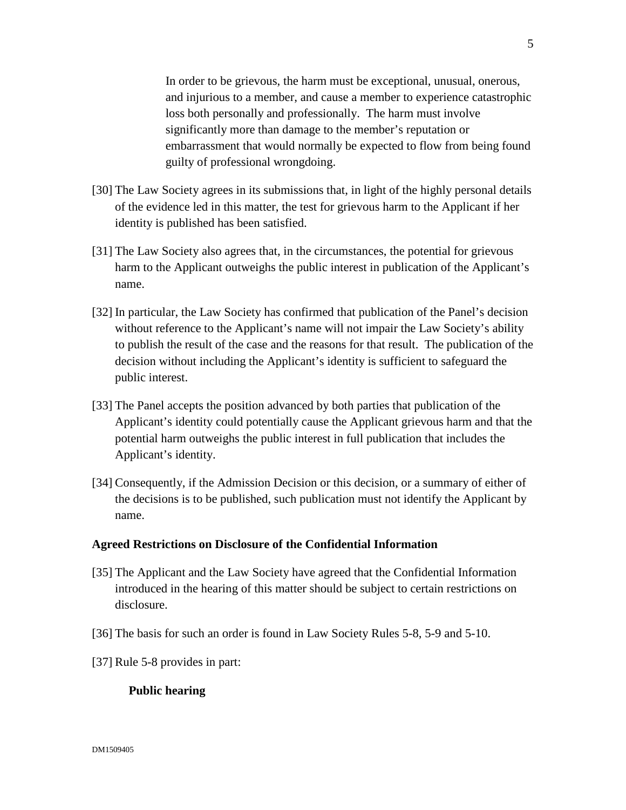In order to be grievous, the harm must be exceptional, unusual, onerous, and injurious to a member, and cause a member to experience catastrophic loss both personally and professionally. The harm must involve significantly more than damage to the member's reputation or embarrassment that would normally be expected to flow from being found guilty of professional wrongdoing.

- [30] The Law Society agrees in its submissions that, in light of the highly personal details of the evidence led in this matter, the test for grievous harm to the Applicant if her identity is published has been satisfied.
- [31] The Law Society also agrees that, in the circumstances, the potential for grievous harm to the Applicant outweighs the public interest in publication of the Applicant's name.
- [32] In particular, the Law Society has confirmed that publication of the Panel's decision without reference to the Applicant's name will not impair the Law Society's ability to publish the result of the case and the reasons for that result. The publication of the decision without including the Applicant's identity is sufficient to safeguard the public interest.
- [33] The Panel accepts the position advanced by both parties that publication of the Applicant's identity could potentially cause the Applicant grievous harm and that the potential harm outweighs the public interest in full publication that includes the Applicant's identity.
- [34] Consequently, if the Admission Decision or this decision, or a summary of either of the decisions is to be published, such publication must not identify the Applicant by name.

#### **Agreed Restrictions on Disclosure of the Confidential Information**

- [35] The Applicant and the Law Society have agreed that the Confidential Information introduced in the hearing of this matter should be subject to certain restrictions on disclosure.
- [36] The basis for such an order is found in Law Society Rules 5-8, 5-9 and 5-10.
- [37] Rule 5-8 provides in part:

#### **Public hearing**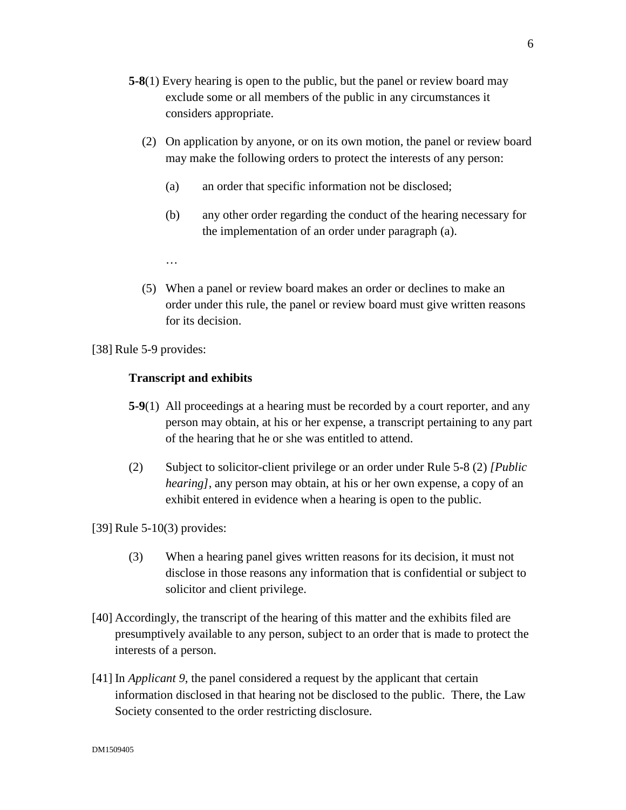- **5-8**(1) Every hearing is open to the public, but the panel or review board may exclude some or all members of the public in any circumstances it considers appropriate.
	- (2) On application by anyone, or on its own motion, the panel or review board may make the following orders to protect the interests of any person:
		- (a) an order that specific information not be disclosed;
		- (b) any other order regarding the conduct of the hearing necessary for the implementation of an order under paragraph (a).
		- …
	- (5) When a panel or review board makes an order or declines to make an order under this rule, the panel or review board must give written reasons for its decision.

[38] Rule 5-9 provides:

#### **Transcript and exhibits**

- **5-9**(1) All proceedings at a hearing must be recorded by a court reporter, and any person may obtain, at his or her expense, a transcript pertaining to any part of the hearing that he or she was entitled to attend.
- (2) Subject to solicitor-client privilege or an order under Rule 5-8 (2) *[Public hearing]*, any person may obtain, at his or her own expense, a copy of an exhibit entered in evidence when a hearing is open to the public.

[39] Rule 5-10(3) provides:

- (3) When a hearing panel gives written reasons for its decision, it must not disclose in those reasons any information that is confidential or subject to solicitor and client privilege.
- [40] Accordingly, the transcript of the hearing of this matter and the exhibits filed are presumptively available to any person, subject to an order that is made to protect the interests of a person.
- [41] In *Applicant 9*, the panel considered a request by the applicant that certain information disclosed in that hearing not be disclosed to the public. There, the Law Society consented to the order restricting disclosure.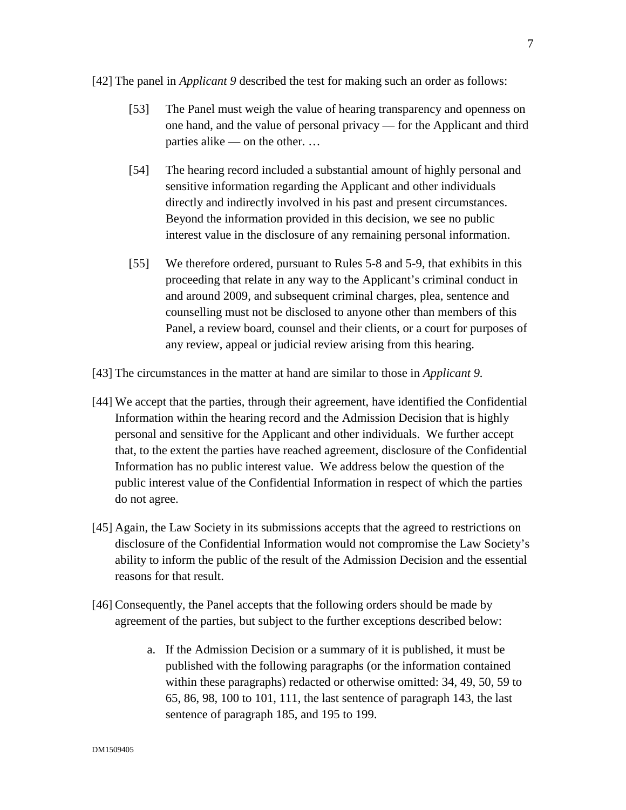[42] The panel in *Applicant 9* described the test for making such an order as follows:

- [53] The Panel must weigh the value of hearing transparency and openness on one hand, and the value of personal privacy — for the Applicant and third parties alike — on the other. …
- [54] The hearing record included a substantial amount of highly personal and sensitive information regarding the Applicant and other individuals directly and indirectly involved in his past and present circumstances. Beyond the information provided in this decision, we see no public interest value in the disclosure of any remaining personal information.
- [55] We therefore ordered, pursuant to Rules 5-8 and 5-9, that exhibits in this proceeding that relate in any way to the Applicant's criminal conduct in and around 2009, and subsequent criminal charges, plea, sentence and counselling must not be disclosed to anyone other than members of this Panel, a review board, counsel and their clients, or a court for purposes of any review, appeal or judicial review arising from this hearing.
- [43] The circumstances in the matter at hand are similar to those in *Applicant 9.*
- [44] We accept that the parties, through their agreement, have identified the Confidential Information within the hearing record and the Admission Decision that is highly personal and sensitive for the Applicant and other individuals. We further accept that, to the extent the parties have reached agreement, disclosure of the Confidential Information has no public interest value. We address below the question of the public interest value of the Confidential Information in respect of which the parties do not agree.
- [45] Again, the Law Society in its submissions accepts that the agreed to restrictions on disclosure of the Confidential Information would not compromise the Law Society's ability to inform the public of the result of the Admission Decision and the essential reasons for that result.
- [46] Consequently, the Panel accepts that the following orders should be made by agreement of the parties, but subject to the further exceptions described below:
	- a. If the Admission Decision or a summary of it is published, it must be published with the following paragraphs (or the information contained within these paragraphs) redacted or otherwise omitted: 34, 49, 50, 59 to 65, 86, 98, 100 to 101, 111, the last sentence of paragraph 143, the last sentence of paragraph 185, and 195 to 199.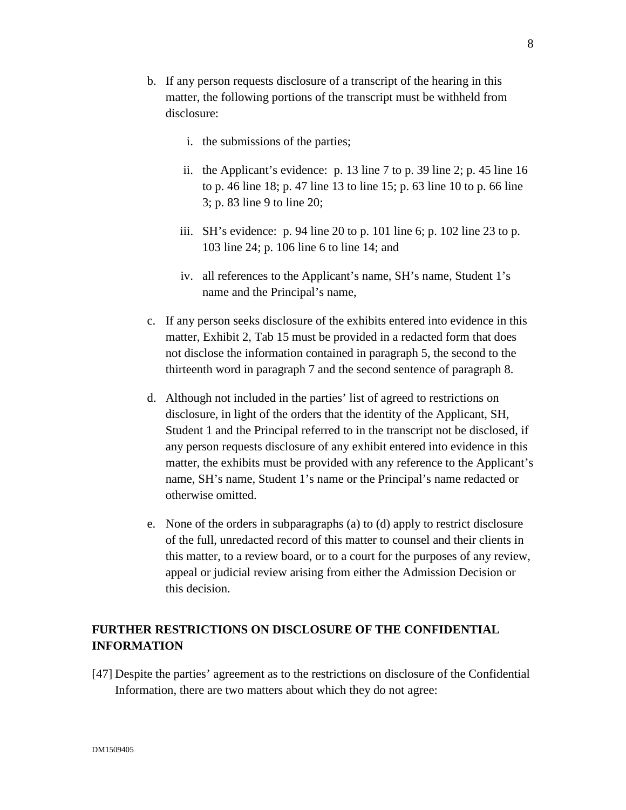- b. If any person requests disclosure of a transcript of the hearing in this matter, the following portions of the transcript must be withheld from disclosure:
	- i. the submissions of the parties;
	- ii. the Applicant's evidence: p. 13 line 7 to p. 39 line 2; p. 45 line 16 to p. 46 line 18; p. 47 line 13 to line 15; p. 63 line 10 to p. 66 line 3; p. 83 line 9 to line 20;
	- iii. SH's evidence: p. 94 line 20 to p. 101 line 6; p. 102 line 23 to p. 103 line 24; p. 106 line 6 to line 14; and
	- iv. all references to the Applicant's name, SH's name, Student 1's name and the Principal's name,
- c. If any person seeks disclosure of the exhibits entered into evidence in this matter, Exhibit 2, Tab 15 must be provided in a redacted form that does not disclose the information contained in paragraph 5, the second to the thirteenth word in paragraph 7 and the second sentence of paragraph 8.
- d. Although not included in the parties' list of agreed to restrictions on disclosure, in light of the orders that the identity of the Applicant, SH, Student 1 and the Principal referred to in the transcript not be disclosed, if any person requests disclosure of any exhibit entered into evidence in this matter, the exhibits must be provided with any reference to the Applicant's name, SH's name, Student 1's name or the Principal's name redacted or otherwise omitted.
- e. None of the orders in subparagraphs (a) to (d) apply to restrict disclosure of the full, unredacted record of this matter to counsel and their clients in this matter, to a review board, or to a court for the purposes of any review, appeal or judicial review arising from either the Admission Decision or this decision.

# **FURTHER RESTRICTIONS ON DISCLOSURE OF THE CONFIDENTIAL INFORMATION**

[47] Despite the parties' agreement as to the restrictions on disclosure of the Confidential Information, there are two matters about which they do not agree: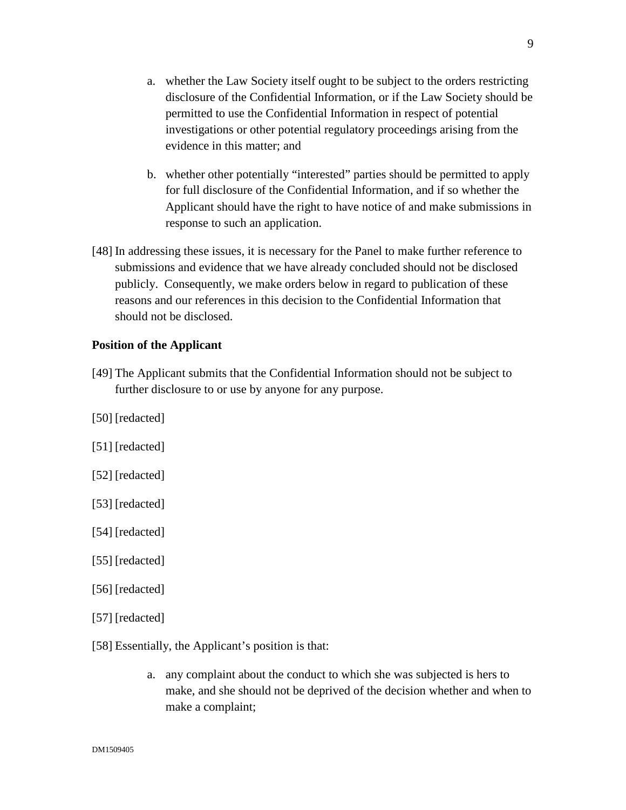- a. whether the Law Society itself ought to be subject to the orders restricting disclosure of the Confidential Information, or if the Law Society should be permitted to use the Confidential Information in respect of potential investigations or other potential regulatory proceedings arising from the evidence in this matter; and
- b. whether other potentially "interested" parties should be permitted to apply for full disclosure of the Confidential Information, and if so whether the Applicant should have the right to have notice of and make submissions in response to such an application.
- [48] In addressing these issues, it is necessary for the Panel to make further reference to submissions and evidence that we have already concluded should not be disclosed publicly. Consequently, we make orders below in regard to publication of these reasons and our references in this decision to the Confidential Information that should not be disclosed.

### **Position of the Applicant**

- [49] The Applicant submits that the Confidential Information should not be subject to further disclosure to or use by anyone for any purpose.
- [50] [redacted]
- [51] [redacted]
- [52] [redacted]
- [53] [redacted]
- [54] [redacted]
- [55] [redacted]
- [56] [redacted]
- [57] [redacted]
- [58] Essentially, the Applicant's position is that:
	- a. any complaint about the conduct to which she was subjected is hers to make, and she should not be deprived of the decision whether and when to make a complaint;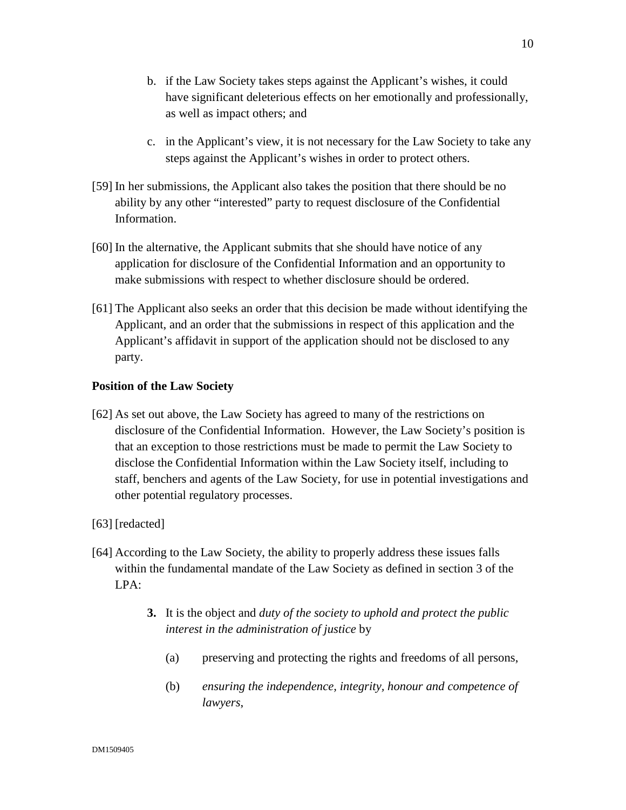- b. if the Law Society takes steps against the Applicant's wishes, it could have significant deleterious effects on her emotionally and professionally, as well as impact others; and
- c. in the Applicant's view, it is not necessary for the Law Society to take any steps against the Applicant's wishes in order to protect others.
- [59] In her submissions, the Applicant also takes the position that there should be no ability by any other "interested" party to request disclosure of the Confidential Information.
- [60] In the alternative, the Applicant submits that she should have notice of any application for disclosure of the Confidential Information and an opportunity to make submissions with respect to whether disclosure should be ordered.
- [61] The Applicant also seeks an order that this decision be made without identifying the Applicant, and an order that the submissions in respect of this application and the Applicant's affidavit in support of the application should not be disclosed to any party.

# **Position of the Law Society**

- [62] As set out above, the Law Society has agreed to many of the restrictions on disclosure of the Confidential Information. However, the Law Society's position is that an exception to those restrictions must be made to permit the Law Society to disclose the Confidential Information within the Law Society itself, including to staff, benchers and agents of the Law Society, for use in potential investigations and other potential regulatory processes.
- [63] [redacted]
- [64] According to the Law Society, the ability to properly address these issues falls within the fundamental mandate of the Law Society as defined in section 3 of the LPA:
	- **3.** It is the object and *duty of the society to uphold and protect the public interest in the administration of justice* by
		- (a) preserving and protecting the rights and freedoms of all persons,
		- (b) *ensuring the independence, integrity, honour and competence of lawyers*,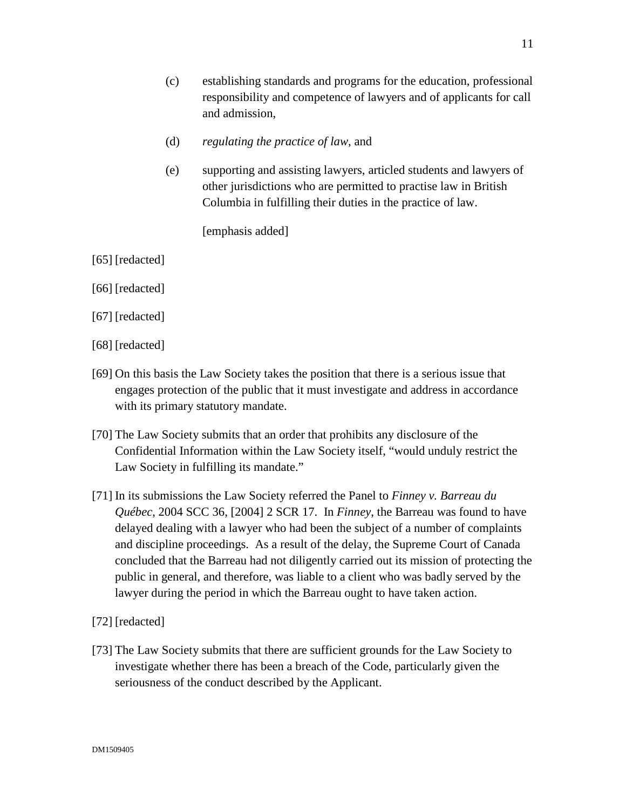- (c) establishing standards and programs for the education, professional responsibility and competence of lawyers and of applicants for call and admission,
- (d) *regulating the practice of law*, and
- (e) supporting and assisting lawyers, articled students and lawyers of other jurisdictions who are permitted to practise law in British Columbia in fulfilling their duties in the practice of law.

[emphasis added]

- [65] [redacted]
- [66] [redacted]
- [67] [redacted]
- [68] [redacted]
- [69] On this basis the Law Society takes the position that there is a serious issue that engages protection of the public that it must investigate and address in accordance with its primary statutory mandate.
- [70] The Law Society submits that an order that prohibits any disclosure of the Confidential Information within the Law Society itself, "would unduly restrict the Law Society in fulfilling its mandate."
- [71] In its submissions the Law Society referred the Panel to *Finney v. Barreau du Québec*, 2004 SCC 36, [2004] 2 SCR 17. In *Finney*, the Barreau was found to have delayed dealing with a lawyer who had been the subject of a number of complaints and discipline proceedings. As a result of the delay, the Supreme Court of Canada concluded that the Barreau had not diligently carried out its mission of protecting the public in general, and therefore, was liable to a client who was badly served by the lawyer during the period in which the Barreau ought to have taken action.
- [72] [redacted]
- [73] The Law Society submits that there are sufficient grounds for the Law Society to investigate whether there has been a breach of the Code, particularly given the seriousness of the conduct described by the Applicant.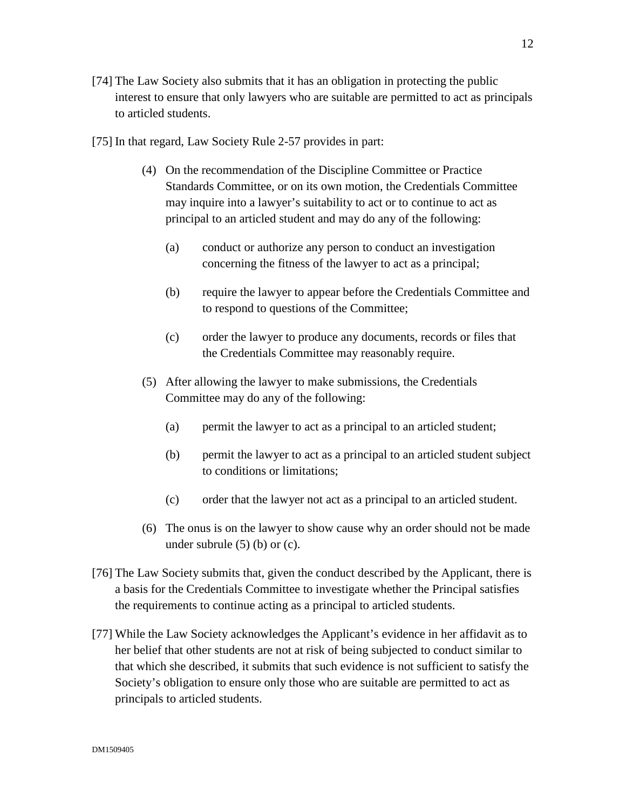- [74] The Law Society also submits that it has an obligation in protecting the public interest to ensure that only lawyers who are suitable are permitted to act as principals to articled students.
- [75] In that regard, Law Society Rule 2-57 provides in part:
	- (4) On the recommendation of the Discipline Committee or Practice Standards Committee, or on its own motion, the Credentials Committee may inquire into a lawyer's suitability to act or to continue to act as principal to an articled student and may do any of the following:
		- (a) conduct or authorize any person to conduct an investigation concerning the fitness of the lawyer to act as a principal;
		- (b) require the lawyer to appear before the Credentials Committee and to respond to questions of the Committee;
		- (c) order the lawyer to produce any documents, records or files that the Credentials Committee may reasonably require.
	- (5) After allowing the lawyer to make submissions, the Credentials Committee may do any of the following:
		- (a) permit the lawyer to act as a principal to an articled student;
		- (b) permit the lawyer to act as a principal to an articled student subject to conditions or limitations;
		- (c) order that the lawyer not act as a principal to an articled student.
	- (6) The onus is on the lawyer to show cause why an order should not be made under subrule  $(5)$  (b) or  $(c)$ .
- [76] The Law Society submits that, given the conduct described by the Applicant, there is a basis for the Credentials Committee to investigate whether the Principal satisfies the requirements to continue acting as a principal to articled students.
- [77] While the Law Society acknowledges the Applicant's evidence in her affidavit as to her belief that other students are not at risk of being subjected to conduct similar to that which she described, it submits that such evidence is not sufficient to satisfy the Society's obligation to ensure only those who are suitable are permitted to act as principals to articled students.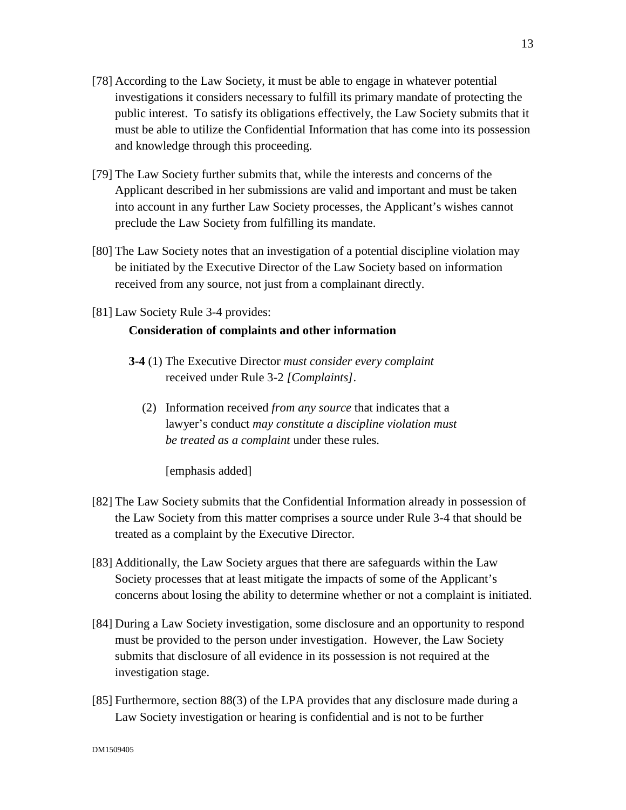- [78] According to the Law Society, it must be able to engage in whatever potential investigations it considers necessary to fulfill its primary mandate of protecting the public interest. To satisfy its obligations effectively, the Law Society submits that it must be able to utilize the Confidential Information that has come into its possession and knowledge through this proceeding.
- [79] The Law Society further submits that, while the interests and concerns of the Applicant described in her submissions are valid and important and must be taken into account in any further Law Society processes, the Applicant's wishes cannot preclude the Law Society from fulfilling its mandate.
- [80] The Law Society notes that an investigation of a potential discipline violation may be initiated by the Executive Director of the Law Society based on information received from any source, not just from a complainant directly.
- [81] Law Society Rule 3-4 provides:

# **Consideration of complaints and other information**

- **3-4** (1) The Executive Director *must consider every complaint* received under Rule 3-2 *[Complaints]*.
	- (2) Information received *from any source* that indicates that a lawyer's conduct *may constitute a discipline violation must be treated as a complaint* under these rules.

[emphasis added]

- [82] The Law Society submits that the Confidential Information already in possession of the Law Society from this matter comprises a source under Rule 3-4 that should be treated as a complaint by the Executive Director.
- [83] Additionally, the Law Society argues that there are safeguards within the Law Society processes that at least mitigate the impacts of some of the Applicant's concerns about losing the ability to determine whether or not a complaint is initiated.
- [84] During a Law Society investigation, some disclosure and an opportunity to respond must be provided to the person under investigation. However, the Law Society submits that disclosure of all evidence in its possession is not required at the investigation stage.
- [85] Furthermore, section 88(3) of the LPA provides that any disclosure made during a Law Society investigation or hearing is confidential and is not to be further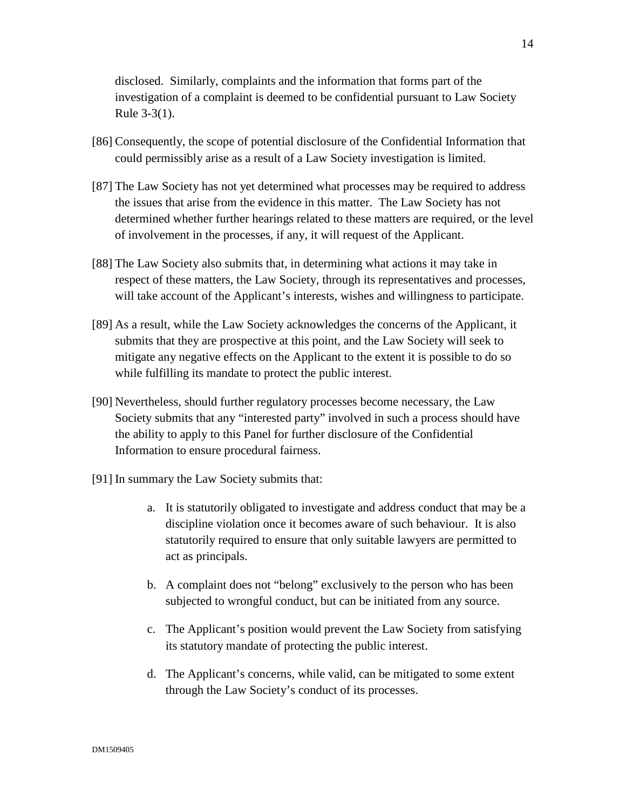disclosed. Similarly, complaints and the information that forms part of the investigation of a complaint is deemed to be confidential pursuant to Law Society Rule 3-3(1).

- [86] Consequently, the scope of potential disclosure of the Confidential Information that could permissibly arise as a result of a Law Society investigation is limited.
- [87] The Law Society has not yet determined what processes may be required to address the issues that arise from the evidence in this matter. The Law Society has not determined whether further hearings related to these matters are required, or the level of involvement in the processes, if any, it will request of the Applicant.
- [88] The Law Society also submits that, in determining what actions it may take in respect of these matters, the Law Society, through its representatives and processes, will take account of the Applicant's interests, wishes and willingness to participate.
- [89] As a result, while the Law Society acknowledges the concerns of the Applicant, it submits that they are prospective at this point, and the Law Society will seek to mitigate any negative effects on the Applicant to the extent it is possible to do so while fulfilling its mandate to protect the public interest.
- [90] Nevertheless, should further regulatory processes become necessary, the Law Society submits that any "interested party" involved in such a process should have the ability to apply to this Panel for further disclosure of the Confidential Information to ensure procedural fairness.
- [91] In summary the Law Society submits that:
	- a. It is statutorily obligated to investigate and address conduct that may be a discipline violation once it becomes aware of such behaviour. It is also statutorily required to ensure that only suitable lawyers are permitted to act as principals.
	- b. A complaint does not "belong" exclusively to the person who has been subjected to wrongful conduct, but can be initiated from any source.
	- c. The Applicant's position would prevent the Law Society from satisfying its statutory mandate of protecting the public interest.
	- d. The Applicant's concerns, while valid, can be mitigated to some extent through the Law Society's conduct of its processes.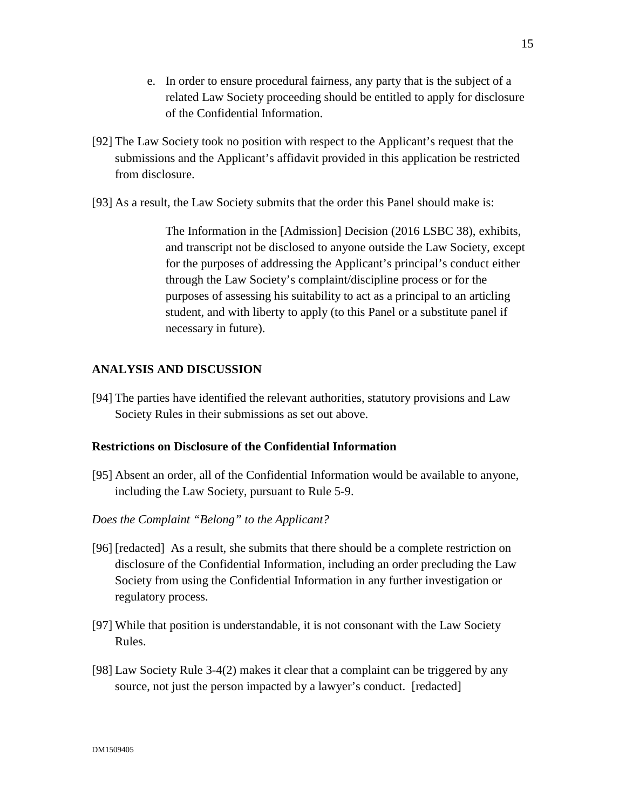- e. In order to ensure procedural fairness, any party that is the subject of a related Law Society proceeding should be entitled to apply for disclosure of the Confidential Information.
- [92] The Law Society took no position with respect to the Applicant's request that the submissions and the Applicant's affidavit provided in this application be restricted from disclosure.
- [93] As a result, the Law Society submits that the order this Panel should make is:

The Information in the [Admission] Decision (2016 LSBC 38), exhibits, and transcript not be disclosed to anyone outside the Law Society, except for the purposes of addressing the Applicant's principal's conduct either through the Law Society's complaint/discipline process or for the purposes of assessing his suitability to act as a principal to an articling student, and with liberty to apply (to this Panel or a substitute panel if necessary in future).

# **ANALYSIS AND DISCUSSION**

[94] The parties have identified the relevant authorities, statutory provisions and Law Society Rules in their submissions as set out above.

# **Restrictions on Disclosure of the Confidential Information**

- [95] Absent an order, all of the Confidential Information would be available to anyone, including the Law Society, pursuant to Rule 5-9.
- *Does the Complaint "Belong" to the Applicant?*
- [96] [redacted] As a result, she submits that there should be a complete restriction on disclosure of the Confidential Information, including an order precluding the Law Society from using the Confidential Information in any further investigation or regulatory process.
- [97] While that position is understandable, it is not consonant with the Law Society Rules.
- [98] Law Society Rule 3-4(2) makes it clear that a complaint can be triggered by any source, not just the person impacted by a lawyer's conduct. [redacted]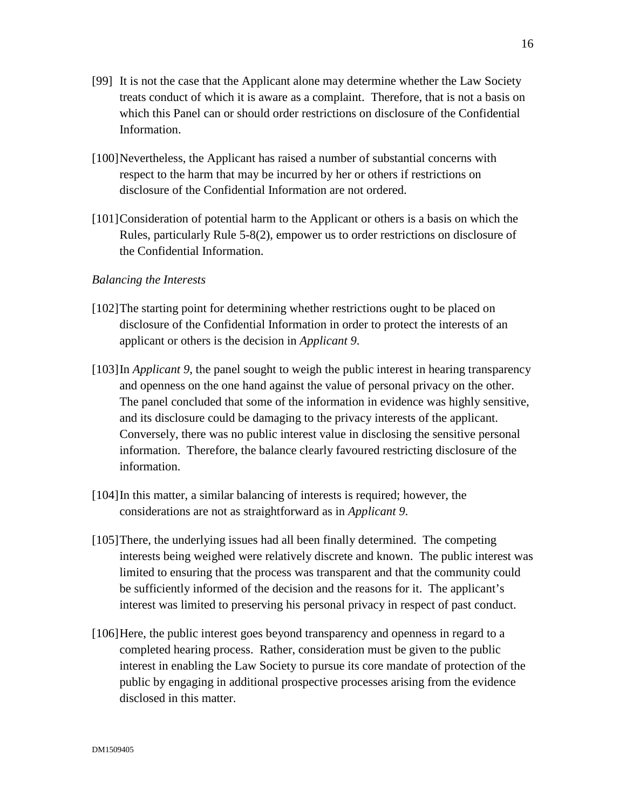- [99] It is not the case that the Applicant alone may determine whether the Law Society treats conduct of which it is aware as a complaint. Therefore, that is not a basis on which this Panel can or should order restrictions on disclosure of the Confidential Information.
- [100]Nevertheless, the Applicant has raised a number of substantial concerns with respect to the harm that may be incurred by her or others if restrictions on disclosure of the Confidential Information are not ordered.
- [101]Consideration of potential harm to the Applicant or others is a basis on which the Rules, particularly Rule 5-8(2), empower us to order restrictions on disclosure of the Confidential Information.

### *Balancing the Interests*

- [102]The starting point for determining whether restrictions ought to be placed on disclosure of the Confidential Information in order to protect the interests of an applicant or others is the decision in *Applicant 9*.
- [103]In *Applicant 9*, the panel sought to weigh the public interest in hearing transparency and openness on the one hand against the value of personal privacy on the other. The panel concluded that some of the information in evidence was highly sensitive, and its disclosure could be damaging to the privacy interests of the applicant. Conversely, there was no public interest value in disclosing the sensitive personal information. Therefore, the balance clearly favoured restricting disclosure of the information.
- [104] In this matter, a similar balancing of interests is required; however, the considerations are not as straightforward as in *Applicant 9*.
- [105]There, the underlying issues had all been finally determined. The competing interests being weighed were relatively discrete and known. The public interest was limited to ensuring that the process was transparent and that the community could be sufficiently informed of the decision and the reasons for it. The applicant's interest was limited to preserving his personal privacy in respect of past conduct.
- [106]Here, the public interest goes beyond transparency and openness in regard to a completed hearing process. Rather, consideration must be given to the public interest in enabling the Law Society to pursue its core mandate of protection of the public by engaging in additional prospective processes arising from the evidence disclosed in this matter.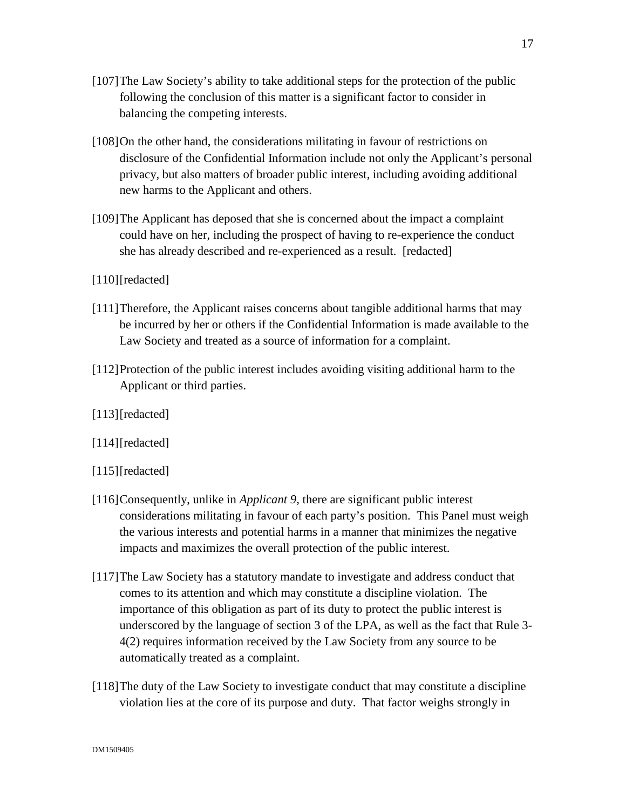- [107]The Law Society's ability to take additional steps for the protection of the public following the conclusion of this matter is a significant factor to consider in balancing the competing interests.
- [108]On the other hand, the considerations militating in favour of restrictions on disclosure of the Confidential Information include not only the Applicant's personal privacy, but also matters of broader public interest, including avoiding additional new harms to the Applicant and others.
- [109]The Applicant has deposed that she is concerned about the impact a complaint could have on her, including the prospect of having to re-experience the conduct she has already described and re-experienced as a result. [redacted]
- [110][redacted]
- [111]Therefore, the Applicant raises concerns about tangible additional harms that may be incurred by her or others if the Confidential Information is made available to the Law Society and treated as a source of information for a complaint.
- [112]Protection of the public interest includes avoiding visiting additional harm to the Applicant or third parties.
- [113][redacted]
- [114][redacted]
- [115][redacted]
- [116]Consequently, unlike in *Applicant 9*, there are significant public interest considerations militating in favour of each party's position. This Panel must weigh the various interests and potential harms in a manner that minimizes the negative impacts and maximizes the overall protection of the public interest.
- [117]The Law Society has a statutory mandate to investigate and address conduct that comes to its attention and which may constitute a discipline violation. The importance of this obligation as part of its duty to protect the public interest is underscored by the language of section 3 of the LPA, as well as the fact that Rule 3- 4(2) requires information received by the Law Society from any source to be automatically treated as a complaint.
- [118]The duty of the Law Society to investigate conduct that may constitute a discipline violation lies at the core of its purpose and duty. That factor weighs strongly in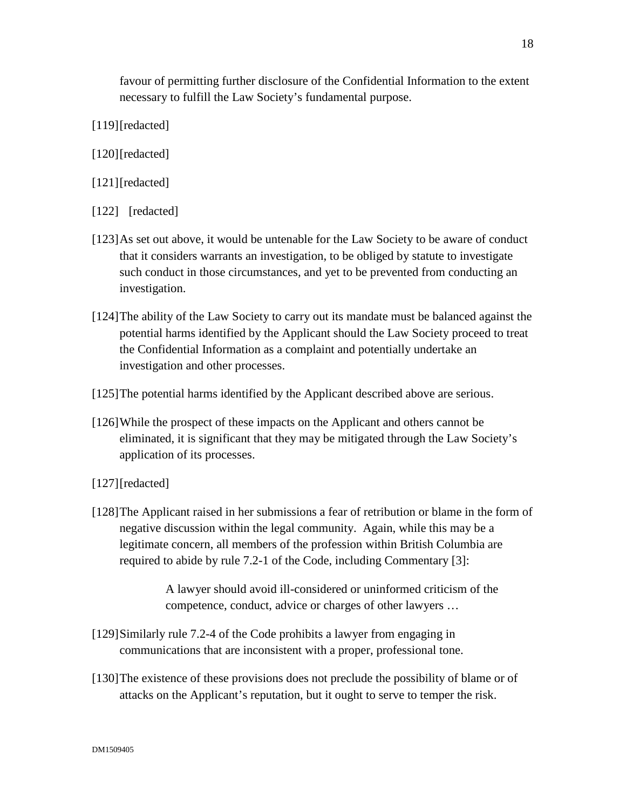favour of permitting further disclosure of the Confidential Information to the extent necessary to fulfill the Law Society's fundamental purpose.

- [119][redacted]
- [120][redacted]
- [121][redacted]
- [122] [redacted]
- [123]As set out above, it would be untenable for the Law Society to be aware of conduct that it considers warrants an investigation, to be obliged by statute to investigate such conduct in those circumstances, and yet to be prevented from conducting an investigation.
- [124]The ability of the Law Society to carry out its mandate must be balanced against the potential harms identified by the Applicant should the Law Society proceed to treat the Confidential Information as a complaint and potentially undertake an investigation and other processes.
- [125]The potential harms identified by the Applicant described above are serious.
- [126]While the prospect of these impacts on the Applicant and others cannot be eliminated, it is significant that they may be mitigated through the Law Society's application of its processes.
- [127][redacted]
- [128]The Applicant raised in her submissions a fear of retribution or blame in the form of negative discussion within the legal community. Again, while this may be a legitimate concern, all members of the profession within British Columbia are required to abide by rule 7.2-1 of the Code, including Commentary [3]:

A lawyer should avoid ill-considered or uninformed criticism of the competence, conduct, advice or charges of other lawyers …

- [129]Similarly rule 7.2-4 of the Code prohibits a lawyer from engaging in communications that are inconsistent with a proper, professional tone.
- [130]The existence of these provisions does not preclude the possibility of blame or of attacks on the Applicant's reputation, but it ought to serve to temper the risk.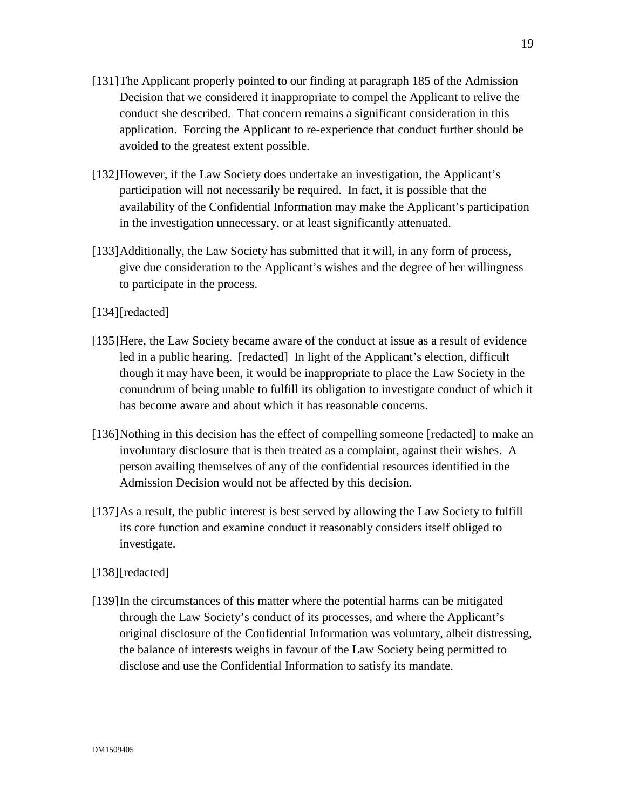- [131]The Applicant properly pointed to our finding at paragraph 185 of the Admission Decision that we considered it inappropriate to compel the Applicant to relive the conduct she described. That concern remains a significant consideration in this application. Forcing the Applicant to re-experience that conduct further should be avoided to the greatest extent possible.
- [132]However, if the Law Society does undertake an investigation, the Applicant's participation will not necessarily be required. In fact, it is possible that the availability of the Confidential Information may make the Applicant's participation in the investigation unnecessary, or at least significantly attenuated.
- [133]Additionally, the Law Society has submitted that it will, in any form of process, give due consideration to the Applicant's wishes and the degree of her willingness to participate in the process.
- [134][redacted]
- [135]Here, the Law Society became aware of the conduct at issue as a result of evidence led in a public hearing. [redacted] In light of the Applicant's election, difficult though it may have been, it would be inappropriate to place the Law Society in the conundrum of being unable to fulfill its obligation to investigate conduct of which it has become aware and about which it has reasonable concerns.
- [136]Nothing in this decision has the effect of compelling someone [redacted] to make an involuntary disclosure that is then treated as a complaint, against their wishes. A person availing themselves of any of the confidential resources identified in the Admission Decision would not be affected by this decision.
- [137]As a result, the public interest is best served by allowing the Law Society to fulfill its core function and examine conduct it reasonably considers itself obliged to investigate.
- [138][redacted]
- [139]In the circumstances of this matter where the potential harms can be mitigated through the Law Society's conduct of its processes, and where the Applicant's original disclosure of the Confidential Information was voluntary, albeit distressing, the balance of interests weighs in favour of the Law Society being permitted to disclose and use the Confidential Information to satisfy its mandate.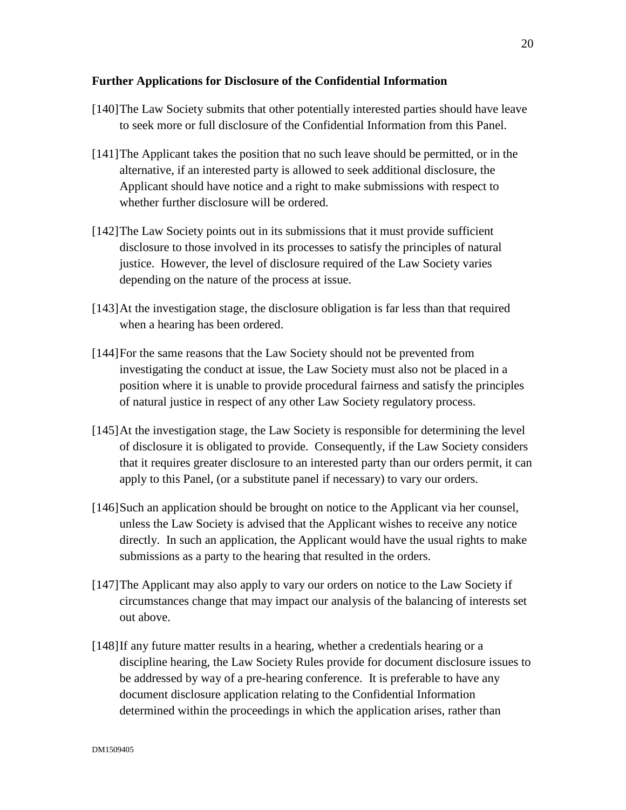### **Further Applications for Disclosure of the Confidential Information**

- [140]The Law Society submits that other potentially interested parties should have leave to seek more or full disclosure of the Confidential Information from this Panel.
- [141]The Applicant takes the position that no such leave should be permitted, or in the alternative, if an interested party is allowed to seek additional disclosure, the Applicant should have notice and a right to make submissions with respect to whether further disclosure will be ordered.
- [142]The Law Society points out in its submissions that it must provide sufficient disclosure to those involved in its processes to satisfy the principles of natural justice. However, the level of disclosure required of the Law Society varies depending on the nature of the process at issue.
- [143]At the investigation stage, the disclosure obligation is far less than that required when a hearing has been ordered.
- [144]For the same reasons that the Law Society should not be prevented from investigating the conduct at issue, the Law Society must also not be placed in a position where it is unable to provide procedural fairness and satisfy the principles of natural justice in respect of any other Law Society regulatory process.
- [145]At the investigation stage, the Law Society is responsible for determining the level of disclosure it is obligated to provide. Consequently, if the Law Society considers that it requires greater disclosure to an interested party than our orders permit, it can apply to this Panel, (or a substitute panel if necessary) to vary our orders.
- [146]Such an application should be brought on notice to the Applicant via her counsel, unless the Law Society is advised that the Applicant wishes to receive any notice directly. In such an application, the Applicant would have the usual rights to make submissions as a party to the hearing that resulted in the orders.
- [147]The Applicant may also apply to vary our orders on notice to the Law Society if circumstances change that may impact our analysis of the balancing of interests set out above.
- [148]If any future matter results in a hearing, whether a credentials hearing or a discipline hearing, the Law Society Rules provide for document disclosure issues to be addressed by way of a pre-hearing conference. It is preferable to have any document disclosure application relating to the Confidential Information determined within the proceedings in which the application arises, rather than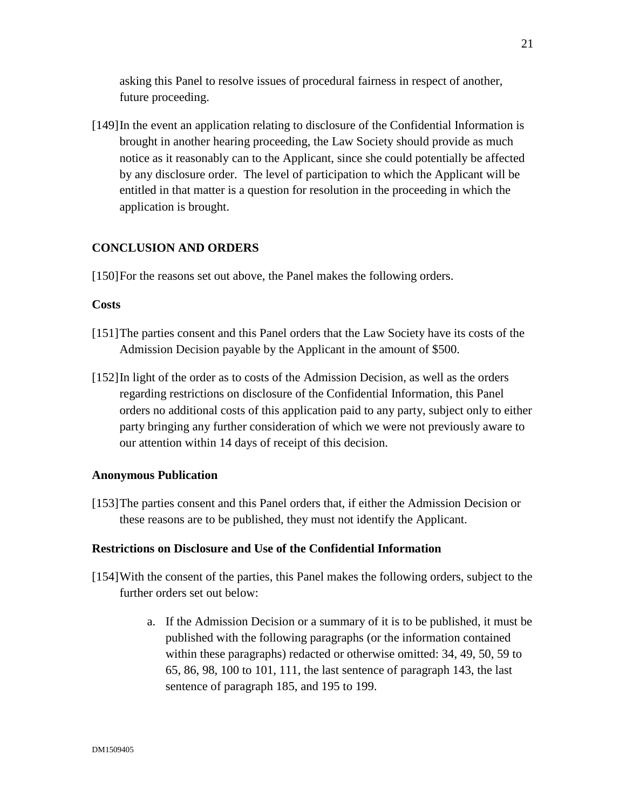asking this Panel to resolve issues of procedural fairness in respect of another, future proceeding.

[149]In the event an application relating to disclosure of the Confidential Information is brought in another hearing proceeding, the Law Society should provide as much notice as it reasonably can to the Applicant, since she could potentially be affected by any disclosure order. The level of participation to which the Applicant will be entitled in that matter is a question for resolution in the proceeding in which the application is brought.

# **CONCLUSION AND ORDERS**

[150] For the reasons set out above, the Panel makes the following orders.

#### **Costs**

- [151]The parties consent and this Panel orders that the Law Society have its costs of the Admission Decision payable by the Applicant in the amount of \$500.
- [152]In light of the order as to costs of the Admission Decision, as well as the orders regarding restrictions on disclosure of the Confidential Information, this Panel orders no additional costs of this application paid to any party, subject only to either party bringing any further consideration of which we were not previously aware to our attention within 14 days of receipt of this decision.

#### **Anonymous Publication**

[153]The parties consent and this Panel orders that, if either the Admission Decision or these reasons are to be published, they must not identify the Applicant.

#### **Restrictions on Disclosure and Use of the Confidential Information**

- [154]With the consent of the parties, this Panel makes the following orders, subject to the further orders set out below:
	- a. If the Admission Decision or a summary of it is to be published, it must be published with the following paragraphs (or the information contained within these paragraphs) redacted or otherwise omitted: 34, 49, 50, 59 to 65, 86, 98, 100 to 101, 111, the last sentence of paragraph 143, the last sentence of paragraph 185, and 195 to 199.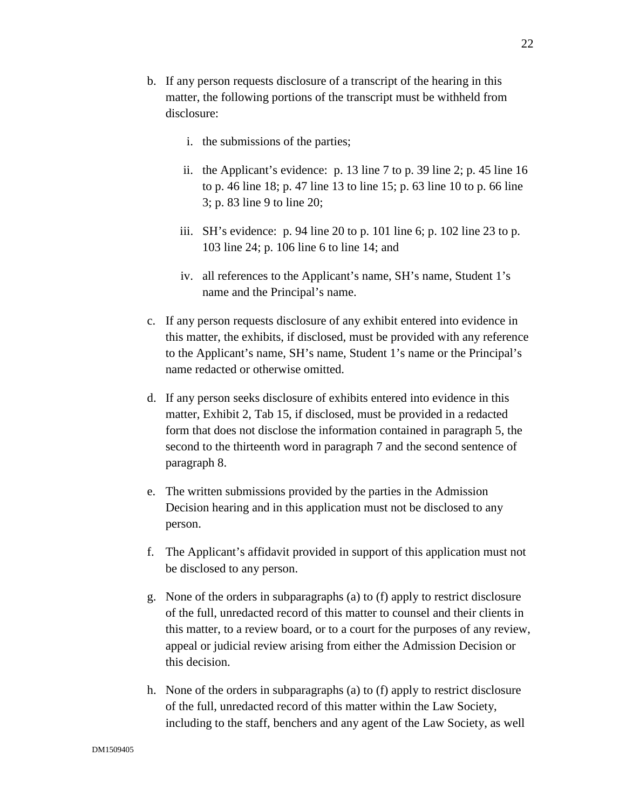- b. If any person requests disclosure of a transcript of the hearing in this matter, the following portions of the transcript must be withheld from disclosure:
	- i. the submissions of the parties;
	- ii. the Applicant's evidence: p. 13 line 7 to p. 39 line 2; p. 45 line 16 to p. 46 line 18; p. 47 line 13 to line 15; p. 63 line 10 to p. 66 line 3; p. 83 line 9 to line 20;
	- iii. SH's evidence: p. 94 line 20 to p. 101 line 6; p. 102 line 23 to p. 103 line 24; p. 106 line 6 to line 14; and
	- iv. all references to the Applicant's name, SH's name, Student 1's name and the Principal's name.
- c. If any person requests disclosure of any exhibit entered into evidence in this matter, the exhibits, if disclosed, must be provided with any reference to the Applicant's name, SH's name, Student 1's name or the Principal's name redacted or otherwise omitted.
- d. If any person seeks disclosure of exhibits entered into evidence in this matter, Exhibit 2, Tab 15, if disclosed, must be provided in a redacted form that does not disclose the information contained in paragraph 5, the second to the thirteenth word in paragraph 7 and the second sentence of paragraph 8.
- e. The written submissions provided by the parties in the Admission Decision hearing and in this application must not be disclosed to any person.
- f. The Applicant's affidavit provided in support of this application must not be disclosed to any person.
- g. None of the orders in subparagraphs (a) to (f) apply to restrict disclosure of the full, unredacted record of this matter to counsel and their clients in this matter, to a review board, or to a court for the purposes of any review, appeal or judicial review arising from either the Admission Decision or this decision.
- h. None of the orders in subparagraphs (a) to (f) apply to restrict disclosure of the full, unredacted record of this matter within the Law Society, including to the staff, benchers and any agent of the Law Society, as well